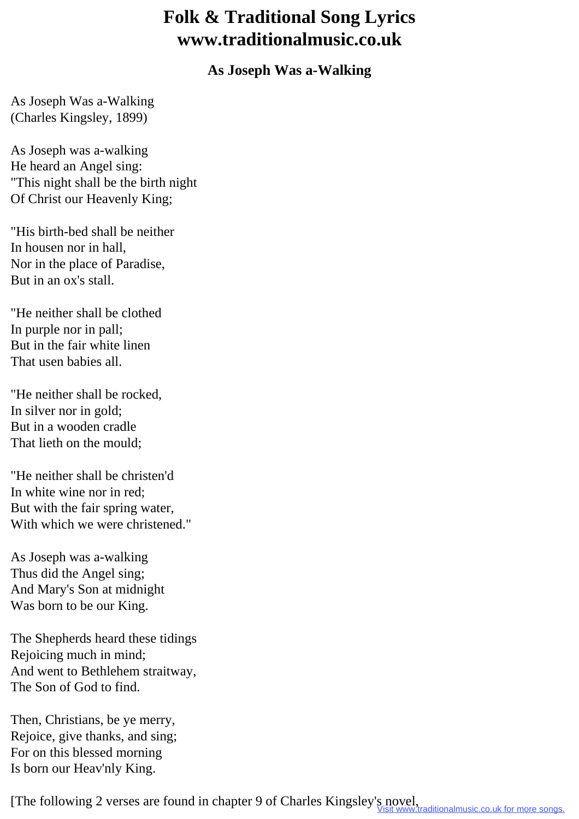## **Folk & Traditional Song Lyrics www.traditionalmusic.co.uk**

## **As Joseph Was a-Walking**

As Joseph Was a-Walking (Charles Kingsley, 1899)

As Joseph was a-walking He heard an Angel sing: "This night shall be the birth night Of Christ our Heavenly King;

"His birth-bed shall be neither In housen nor in hall, Nor in the place of Paradise, But in an ox's stall.

"He neither shall be clothed In purple nor in pall; But in the fair white linen That usen babies all.

"He neither shall be rocked, In silver nor in gold; But in a wooden cradle That lieth on the mould;

"He neither shall be christen'd In white wine nor in red; But with the fair spring water, With which we were christened."

As Joseph was a-walking Thus did the Angel sing; And Mary's Son at midnight Was born to be our King.

The Shepherds heard these tidings Rejoicing much in mind; And went to Bethlehem straitway, The Son of God to find.

Then, Christians, be ye merry, Rejoice, give thanks, and sing; For on this blessed morning Is born our Heav'nly King.

[The following 2 verses are found in chapter 9 of Charles Kingsley's novel, raditionalmusic.co.uk for more songs.